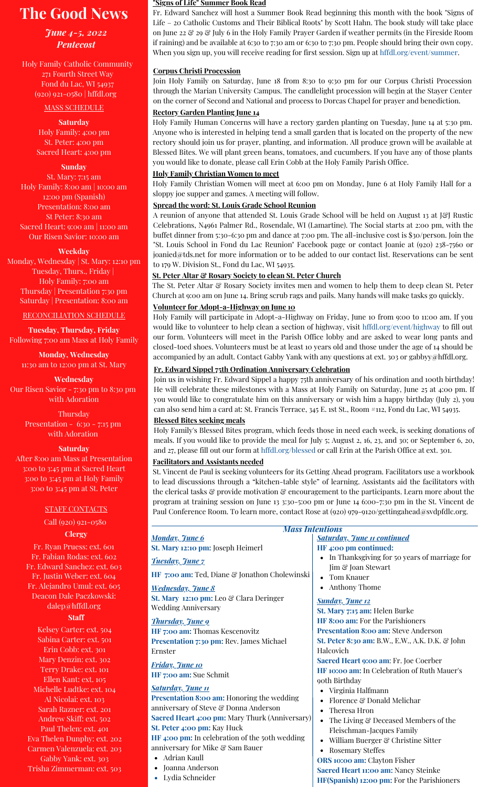# **The Good News**

# *June 4-5, 2022 Pentecost*

Holy Family Catholic Community 271 Fourth Street Way Fond du Lac, WI 54937 (920) 921-0580 | hffdl.org

## MASS SCHEDULE

## **Saturday**

Holy Family: 4:00 pm St. Peter: 4:00 pm Sacred Heart: 4:00 pm

## **Sunday**

St. Mary: 7:15 am Holy Family: 8:00 am | 10:00 am 12:00 pm (Spanish) Presentation: 8:00 am St Peter: 8:30 am Sacred Heart: 9:00 am | 11:00 am Our Risen Savior: 10:00 am

#### **Weekday**

Monday, Wednesday | St. Mary: 12:10 pm Tuesday, Thurs., Friday | Holy Family: 7:00 am Thursday | Presentation 7:30 pm Saturday | Presentation: 8:00 am

#### RECONCILIATION SCHEDULE

**Tuesday, Thursday, Friday** Following 7:00 am Mass at Holy Family

**Monday, Wednesday** 11:30 am to 12:00 pm at St. Mary

**Wednesday** Our Risen Savior - 7:30 pm to 8:30 pm with Adoration

> **Thursday** Presentation - 6:30 - 7:15 pm with Adoration

## **Saturday**

After 8:00 am Mass at Presentation 3:00 to 3:45 pm at Sacred Heart 3:00 to 3:45 pm at Holy Family 3:00 to 3:45 pm at St. Peter

## STAFF CONTACTS

Call (920) 921-0580

# **Clergy**

Fr. Ryan Pruess: ext. 601 Fr. Fabian Rodas: ext. 602 Fr. Edward Sanchez: ext. 603 Fr. Justin Weber: ext. 604 Fr. Alejandro Umul: ext. 605 Deacon Dale Paczkowski: [dalep@hffdl.org](mailto:dalep@hffdl.org)

## **Staff**

Kelsey Carter: ext. 504 Sabina Carter: ext. 501 Erin Cobb: ext. 301 Mary Denzin: ext. 302 Terry Drake: ext. 101 Ellen Kant: ext. 105 Michelle Ludtke: ext. 104 Al Nicolai: ext. 103 Sarah Razner: ext. 201 Andrew Skiff: ext. 502 Paul Thelen: ext. 401 Eva Thelen Dunphy: ext. 202 Carmen Valenzuela: ext. 203 Gabby Yank: ext. 303 Trisha Zimmerman: ext. 503

#### **"Signs of Life" Summer Book Read**

Fr. Edward Sanchez will host a Summer Book Read beginning this month with the book "Signs of Life – 20 Catholic Customs and Their Biblical Roots" by Scott Hahn. The book study will take place on June 22  $\mathcal{C}$  29  $\mathcal{C}$  July 6 in the Holy Family Prayer Garden if weather permits (in the Fireside Room if raining) and be available at 6:30 to 7:30 am or 6:30 to 7:30 pm. People should bring their own copy. When you sign up, you will receive reading for first session. Sign up at [hffdl.org/event/summer.](http://hffdl.org/event/summer)

# **Corpus Christi Procession**

Join Holy Family on Saturday, June 18 from 8:30 to 9:30 pm for our Corpus Christi Procession through the Marian University Campus. The candlelight procession will begin at the Stayer Center on the corner of Second and National and process to Dorcas Chapel for prayer and benediction.

# **Rectory Garden Planting June 14**

Holy Family Human Concerns will have a rectory garden planting on Tuesday, June 14 at 5:30 pm. Anyone who is interested in helping tend a small garden that is located on the property of the new rectory should join us for prayer, planting, and information. All produce grown will be available at Blessed Bites. We will plant green beans, tomatoes, and cucumbers. If you have any of those plants you would like to donate, please call Erin Cobb at the Holy Family Parish Office.

## **Holy Family Christian Women to meet**

Holy Family Christian Women will meet at 6:00 pm on Monday, June 6 at Holy Family Hall for a sloppy joe supper and games. A meeting will follow.

## **Spread the word: St. Louis Grade School Reunion**

A reunion of anyone that attended St. Louis Grade School will be held on August 13 at J&J Rustic Celebrations, N4961 Palmer Rd., Rosendale, WI (Lamartine). The Social starts at 2:00 pm, with the buffet dinner from 5:30-6:30 pm and dance at 7:00 pm. The all-inclusive cost is \$30/person. Join the "St. Louis School in Fond du Lac Reunion" Facebook page or contact Joanie at (920) 238-7560 or joanied@tds.net for more information or to be added to our contact list. Reservations can be sent to 179 W. Division St., Fond du Lac, WI 54935.

# **St. Peter Altar & Rosary Society to clean St. Peter Church**

The St. Peter Altar & Rosary Society invites men and women to help them to deep clean St. Peter Church at 9:00 am on June 14. Bring scrub rags and pails. Many hands will make tasks go quickly.

# **Volunteer for Adopt-a-Highway on June 10**

Holy Family will participate in Adopt-a-Highway on Friday, June 10 from 9:00 to 11:00 am. If you would like to volunteer to help clean a section of highway, visit [hffdl.org/event/highway](http://hffdl.org/event/highway) to fill out our form. Volunteers will meet in the Parish Office lobby and are asked to wear long pants and closed-toed shoes. Volunteers must be at least 10 years old and those under the age of 14 should be accompanied by an adult. Contact Gabby Yank with any questions at ext. 303 or gabbyy@hffdl.org.

# **Fr. Edward Sippel 75th Ordination Anniversary Celebration**

Join us in wishing Fr. Edward Sippel a happy 75th anniversary of his ordination and 100th birthday! He will celebrate these milestones with a Mass at Holy Family on Saturday, June 25 at 4:00 pm. If you would like to congratulate him on this anniversary or wish him a happy birthday (July 2), you can also send him a card at: St. Francis Terrace, 345 E. 1st St., Room #112, Fond du Lac, WI 54935.

# **Blessed Bites seeking meals**

Joanna Anderson Lydia Schneider

Holy Family's Blessed Bites program, which feeds those in need each week, is seeking donations of meals. If you would like to provide the meal for July 5; August 2, 16, 23, and 30; or September 6, 20, and 27, please fill out our form at [hffdl.org/blessed](http://hffdl.org/blessed) or call Erin at the Parish Office at ext. 301.

# **Facilitators and Assistants needed**

St. Vincent de Paul is seeking volunteers for its Getting Ahead program. Facilitators use a workbook to lead discussions through a "kitchen-table style" of learning. Assistants aid the facilitators with the clerical tasks & provide motivation & encouragement to the participants. Learn more about the program at training session on June 13 3:30-5:00 pm or June 14 6:00-7:30 pm in the St. Vincent de Paul Conference Room. To learn more, contact Rose at (920) 979-9120[/gettingahead@svdpfdlc.org](mailto:Gettingahead@svdpfdlc.org).

| <b>Mass Intentions</b>                                |                                                           |
|-------------------------------------------------------|-----------------------------------------------------------|
| <b>Monday</b> , June 6                                | <b>Saturday, June 11 continued</b>                        |
| St. Mary 12:10 pm: Joseph Heimerl                     | HF 4:00 pm continued:                                     |
| <b>Tuesday</b> , June 7                               | In Thanksgiving for 50 years of marriage for<br>$\bullet$ |
|                                                       | Jim & Joan Stewart                                        |
| HF 7:00 am: Ted, Diane & Jonathon Cholewinski         | Tom Knauer<br>$\bullet$                                   |
| <b>Wednesday</b> , June 8                             | Anthony Thome<br>$\bullet$                                |
| St. Mary 12:10 pm: Leo & Clara Deringer               | <b>Sunday</b> , June 12                                   |
| <b>Wedding Anniversary</b>                            | St. Mary 7:15 am: Helen Burke                             |
| <b>Thursday</b> , June 9                              | HF 8:00 am: For the Parishioners                          |
| HF 7:00 am: Thomas Kescenovitz                        | <b>Presentation 8:00 am: Steve Anderson</b>               |
| Presentation 7:30 pm: Rev. James Michael              | St. Peter 8:30 am: B.W., E.W., A.K. D.K. & John           |
| Ernster                                               | Halcovich                                                 |
| <b>Friday</b> , June 10                               | Sacred Heart 9:00 am: Fr. Joe Coerber                     |
| HF 7:00 am: Sue Schmit                                | HF 10:00 am: In Celebration of Ruth Mauer's               |
|                                                       | 90th Birthday                                             |
| <b>Saturday</b> , June 11                             | Virginia Halfmann                                         |
| <b>Presentation 8:00 am: Honoring the wedding</b>     | Florence & Donald Melichar                                |
| anniversary of Steve & Donna Anderson                 | Theresa Hron<br>$\bullet$                                 |
| <b>Sacred Heart 4:00 pm: Mary Thurk (Anniversary)</b> | The Living & Deceased Members of the<br>$\bullet$         |
| St. Peter 4:00 pm: Kay Huck                           | Fleischman-Jacques Family                                 |
| HF 4:00 pm: In celebration of the 50th wedding        | William Buerger & Christine Sitter                        |
| anniversary for Mike & Sam Bauer                      | <b>Rosemary Steffes</b><br>$\bullet$                      |
| • Adrian Kaull                                        | ORS 10:00 am: Clayton Fisher                              |

**ORS 10:00 am:** Clayton Fisher **Sacred Heart 11:00 am:** Nancy Steinke **HF(Spanish) 12:00 pm:** For the Parishioners